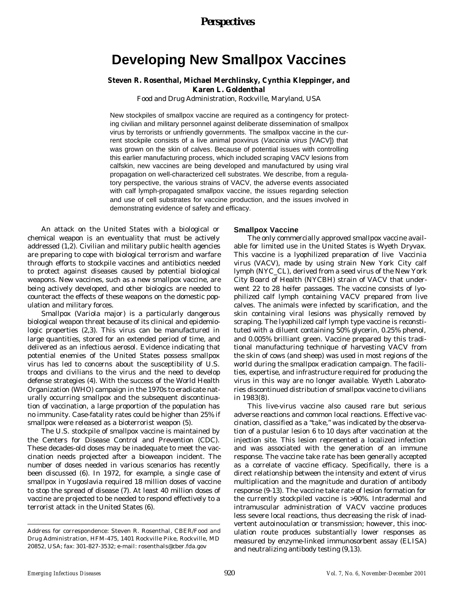# *Perspectives*

# **Developing New Smallpox Vaccines**

# **Steven R. Rosenthal, Michael Merchlinsky, Cynthia Kleppinger, and Karen L. Goldenthal**

Food and Drug Administration, Rockville, Maryland, USA

New stockpiles of smallpox vaccine are required as a contingency for protecting civilian and military personnel against deliberate dissemination of smallpox virus by terrorists or unfriendly governments. The smallpox vaccine in the current stockpile consists of a live animal poxvirus (*Vaccinia virus* [VACV]) that was grown on the skin of calves. Because of potential issues with controlling this earlier manufacturing process, which included scraping VACV lesions from calfskin, new vaccines are being developed and manufactured by using viral propagation on well-characterized cell substrates. We describe, from a regulatory perspective, the various strains of VACV, the adverse events associated with calf lymph-propagated smallpox vaccine, the issues regarding selection and use of cell substrates for vaccine production, and the issues involved in demonstrating evidence of safety and efficacy.

An attack on the United States with a biological or chemical weapon is an eventuality that must be actively addressed (1,2). Civilian and military public health agencies are preparing to cope with biological terrorism and warfare through efforts to stockpile vaccines and antibiotics needed to protect against diseases caused by potential biological weapons. New vaccines, such as a new smallpox vaccine, are being actively developed, and other biologics are needed to counteract the effects of these weapons on the domestic population and military forces.

Smallpox (*Variola major*) is a particularly dangerous biological weapon threat because of its clinical and epidemiologic properties (2,3). This virus can be manufactured in large quantities, stored for an extended period of time, and delivered as an infectious aerosol. Evidence indicating that potential enemies of the United States possess smallpox virus has led to concerns about the susceptibility of U.S. troops and civilians to the virus and the need to develop defense strategies (4). With the success of the World Health Organization (WHO) campaign in the 1970s to eradicate naturally occurring smallpox and the subsequent discontinuation of vaccination, a large proportion of the population has no immunity. Case-fatality rates could be higher than 25% if smallpox were released as a bioterrorist weapon (5).

The U.S. stockpile of smallpox vaccine is maintained by the Centers for Disease Control and Prevention (CDC). These decades-old doses may be inadequate to meet the vaccination needs projected after a bioweapon incident. The number of doses needed in various scenarios has recently been discussed (6). In 1972, for example, a single case of smallpox in Yugoslavia required 18 million doses of vaccine to stop the spread of disease (7). At least 40 million doses of vaccine are projected to be needed to respond effectively to a terrorist attack in the United States (6).

#### **Smallpox Vaccine**

The only commercially approved smallpox vaccine available for limited use in the United States is Wyeth Dryvax. This vaccine is a lyophilized preparation of live *Vaccinia virus* (VACV), made by using strain New York City calf lymph (NYC\_CL), derived from a seed virus of the New York City Board of Health (NYCBH) strain of VACV that underwent 22 to 28 heifer passages. The vaccine consists of lyophilized calf lymph containing VACV prepared from live calves. The animals were infected by scarification, and the skin containing viral lesions was physically removed by scraping. The lyophilized calf lymph type vaccine is reconstituted with a diluent containing 50% glycerin, 0.25% phenol, and 0.005% brilliant green. Vaccine prepared by this traditional manufacturing technique of harvesting VACV from the skin of cows (and sheep) was used in most regions of the world during the smallpox eradication campaign. The facilities, expertise, and infrastructure required for producing the virus in this way are no longer available. Wyeth Laboratories discontinued distribution of smallpox vaccine to civilians in 1983(8).

This live-virus vaccine also caused rare but serious adverse reactions and common local reactions. Effective vaccination, classified as a "take," was indicated by the observation of a pustular lesion 6 to 10 days after vaccination at the injection site. This lesion represented a localized infection and was associated with the generation of an immune response. The vaccine take rate has been generally accepted as a correlate of vaccine efficacy. Specifically, there is a direct relationship between the intensity and extent of virus multiplication and the magnitude and duration of antibody response (9-13). The vaccine take rate of lesion formation for the currently stockpiled vaccine is >90%. Intradermal and intramuscular administration of VACV vaccine produces less severe local reactions, thus decreasing the risk of inadvertent autoinoculation or transmission; however, this inoculation route produces substantially lower responses as measured by enzyme-linked immunosorbent assay (ELISA) and neutralizing antibody testing (9,13).

Address for correspondence: Steven R. Rosenthal, CBER/Food and Drug Administration, HFM-475, 1401 Rockville Pike, Rockville, MD 20852, USA; fax: 301-827-3532; e-mail: rosenthals@cber.fda.gov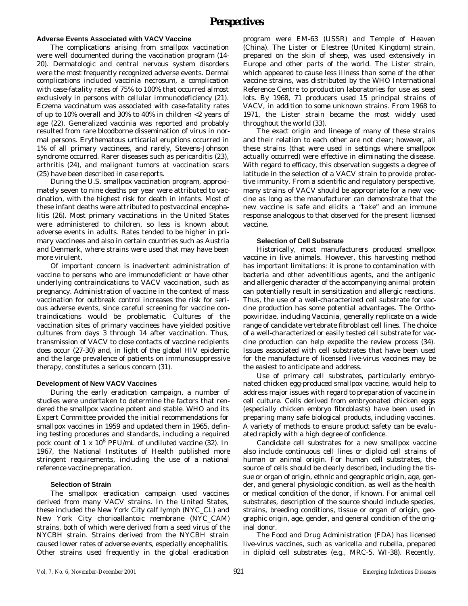# **Adverse Events Associated with VACV Vaccine**

The complications arising from smallpox vaccination were well documented during the vaccination program (14- 20). Dermatologic and central nervous system disorders were the most frequently recognized adverse events. Dermal complications included vaccinia necrosum, a complication with case-fatality rates of 75% to 100% that occurred almost exclusively in persons with cellular immunodeficiency (21). Eczema vaccinatum was associated with case-fatality rates of up to 10% overall and 30% to 40% in children <2 years of age (22). Generalized vaccinia was reported and probably resulted from rare bloodborne dissemination of virus in normal persons. Erythematous urticarial eruptions occurred in 1% of all primary vaccinees, and rarely, Stevens-Johnson syndrome occurred. Rarer diseases such as pericarditis (23), arthritis (24), and malignant tumors at vaccination scars (25) have been described in case reports.

During the U.S. smallpox vaccination program, approximately seven to nine deaths per year were attributed to vaccination, with the highest risk for death in infants. Most of these infant deaths were attributed to postvaccinal encephalitis (26). Most primary vaccinations in the United States were administered to children, so less is known about adverse events in adults. Rates tended to be higher in primary vaccinees and also in certain countries such as Austria and Denmark, where strains were used that may have been more virulent.

Of important concern is inadvertent administration of vaccine to persons who are immunodeficient or have other underlying contraindications to VACV vaccination, such as pregnancy. Administration of vaccine in the context of mass vaccination for outbreak control increases the risk for serious adverse events, since careful screening for vaccine contraindications would be problematic. Cultures of the vaccination sites of primary vaccinees have yielded positive cultures from days 3 through 14 after vaccination. Thus, transmission of VACV to close contacts of vaccine recipients does occur (27-30) and, in light of the global HIV epidemic and the large prevalence of patients on immunosuppressive therapy, constitutes a serious concern (31).

## **Development of New VACV Vaccines**

During the early eradication campaign, a number of studies were undertaken to determine the factors that rendered the smallpox vaccine potent and stable. WHO and its Expert Committee provided the initial recommendations for smallpox vaccines in 1959 and updated them in 1965, defining testing procedures and standards, including a required pock count of 1 x 10<sup>8</sup> PFU/mL of undiluted vaccine (32). In 1967, the National Institutes of Health published more stringent requirements, including the use of a national reference vaccine preparation.

## **Selection of Strain**

The smallpox eradication campaign used vaccines derived from many VACV strains. In the United States, these included the New York City calf lymph (NYC\_CL) and New York City chorioallantoic membrane (NYC\_CAM) strains, both of which were derived from a seed virus of the NYCBH strain. Strains derived from the NYCBH strain caused lower rates of adverse events, especially encephalitis. Other strains used frequently in the global eradication

program were EM-63 (USSR) and Temple of Heaven (China). The Lister or Elestree (United Kingdom) strain, prepared on the skin of sheep, was used extensively in Europe and other parts of the world. The Lister strain, which appeared to cause less illness than some of the other vaccine strains, was distributed by the WHO International Reference Centre to production laboratories for use as seed lots. By 1968, 71 producers used 15 principal strains of VACV, in addition to some unknown strains. From 1968 to 1971, the Lister strain became the most widely used throughout the world (33).

The exact origin and lineage of many of these strains and their relation to each other are not clear; however, all these strains (that were used in settings where smallpox actually occurred) were effective in eliminating the disease. With regard to efficacy, this observation suggests a degree of latitude in the selection of a VACV strain to provide protective immunity. From a scientific and regulatory perspective, many strains of VACV should be appropriate for a new vaccine as long as the manufacturer can demonstrate that the new vaccine is safe and elicits a "take" and an immune response analogous to that observed for the present licensed vaccine.

#### **Selection of Cell Substrate**

Historically, most manufacturers produced smallpox vaccine in live animals. However, this harvesting method has important limitations: it is prone to contamination with bacteria and other adventitious agents, and the antigenic and allergenic character of the accompanying animal protein can potentially result in sensitization and allergic reactions. Thus, the use of a well-characterized cell substrate for vaccine production has some potential advantages. The *Orthopoxviridae*, including *Vaccinia*, generally replicate on a wide range of candidate vertebrate fibroblast cell lines. The choice of a well-characterized or easily tested cell substrate for vaccine production can help expedite the review process (34). Issues associated with cell substrates that have been used for the manufacture of licensed live-virus vaccines may be the easiest to anticipate and address.

Use of primary cell substrates, particularly embryonated chicken egg-produced smallpox vaccine, would help to address major issues with regard to preparation of vaccine in cell culture. Cells derived from embryonated chicken eggs (especially chicken embryo fibroblasts) have been used in preparing many safe biological products, including vaccines. A variety of methods to ensure product safety can be evaluated rapidly with a high degree of confidence.

Candidate cell substrates for a new smallpox vaccine also include continuous cell lines or diploid cell strains of human or animal origin. For human cell substrates, the source of cells should be clearly described, including the tissue or organ of origin, ethnic and geographic origin, age, gender, and general physiologic condition, as well as the health or medical condition of the donor, if known. For animal cell substrates, description of the source should include species, strains, breeding conditions, tissue or organ of origin, geographic origin, age, gender, and general condition of the original donor.

The Food and Drug Administration (FDA) has licensed live-virus vaccines, such as varicella and rubella, prepared in diploid cell substrates (e.g., MRC-5, WI-38). Recently,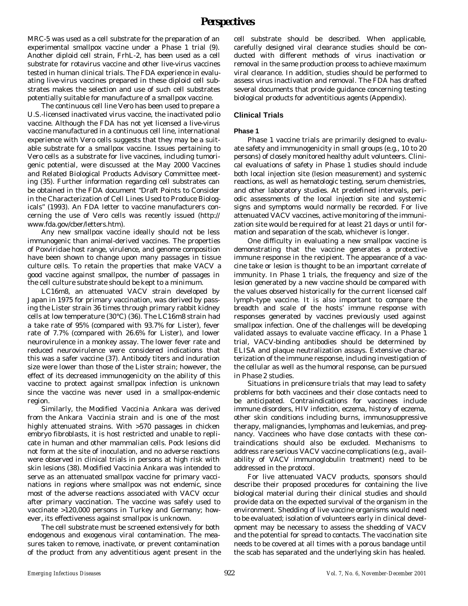MRC-5 was used as a cell substrate for the preparation of an experimental smallpox vaccine under a Phase 1 trial (9). Another diploid cell strain, FrhL-2, has been used as a cell substrate for rotavirus vaccine and other live-virus vaccines tested in human clinical trials. The FDA experience in evaluating live-virus vaccines prepared in these diploid cell substrates makes the selection and use of such cell substrates potentially suitable for manufacture of a smallpox vaccine.

The continuous cell line Vero has been used to prepare a U.S.-licensed inactivated virus vaccine, the inactivated polio vaccine. Although the FDA has not yet licensed a live-virus vaccine manufactured in a continuous cell line, international experience with Vero cells suggests that they may be a suitable substrate for a smallpox vaccine. Issues pertaining to Vero cells as a substrate for live vaccines, including tumorigenic potential, were discussed at the May 2000 Vaccines and Related Biological Products Advisory Committee meeting (35). Further information regarding cell substrates can be obtained in the FDA document "Draft Points to Consider in the Characterization of Cell Lines Used to Produce Biologicals" (1993). An FDA letter to vaccine manufacturers concerning the use of Vero cells was recently issued (http:// www.fda.gov/cber/letters.htm).

Any new smallpox vaccine ideally should not be less immunogenic than animal-derived vaccines. The properties of *Poxviridae* host range, virulence, and genome composition have been shown to change upon many passages in tissue culture cells. To retain the properties that make VACV a good vaccine against smallpox, the number of passages in the cell culture substrate should be kept to a minimum.

LC16m8, an attenuated VACV strain developed by Japan in 1975 for primary vaccination, was derived by passing the Lister strain 36 times through primary rabbit kidney cells at low temperature (30°C) (36). The LC16m8 strain had a take rate of 95% (compared with 93.7% for Lister), fever rate of 7.7% (compared with 26.6% for Lister), and lower neurovirulence in a monkey assay. The lower fever rate and reduced neurovirulence were considered indications that this was a safer vaccine (37). Antibody titers and induration size were lower than those of the Lister strain; however, the effect of its decreased immunogenicity on the ability of this vaccine to protect against smallpox infection is unknown since the vaccine was never used in a smallpox-endemic region.

Similarly, the Modified *Vaccinia* Ankara was derived from the Ankara *Vaccinia* strain and is one of the most highly attenuated strains. With >570 passages in chicken embryo fibroblasts, it is host restricted and unable to replicate in human and other mammalian cells. Pock lesions did not form at the site of inoculation, and no adverse reactions were observed in clinical trials in persons at high risk with skin lesions (38). Modified *Vaccinia* Ankara was intended to serve as an attenuated smallpox vaccine for primary vaccinations in regions where smallpox was not endemic, since most of the adverse reactions associated with VACV occur after primary vaccination. The vaccine was safely used to vaccinate >120,000 persons in Turkey and Germany; however, its effectiveness against smallpox is unknown.

The cell substrate must be screened extensively for both endogenous and exogenous viral contamination. The measures taken to remove, inactivate, or prevent contamination of the product from any adventitious agent present in the cell substrate should be described. When applicable, carefully designed viral clearance studies should be conducted with different methods of virus inactivation or removal in the same production process to achieve maximum viral clearance. In addition, studies should be performed to assess virus inactivation and removal. The FDA has drafted several documents that provide guidance concerning testing biological products for adventitious agents (Appendix).

# **Clinical Trials**

# **Phase 1**

Phase 1 vaccine trials are primarily designed to evaluate safety and immunogenicity in small groups (e.g., 10 to 20 persons) of closely monitored healthy adult volunteers. Clinical evaluations of safety in Phase 1 studies should include both local injection site (lesion measurement) and systemic reactions, as well as hematologic testing, serum chemistries, and other laboratory studies. At predefined intervals, periodic assessments of the local injection site and systemic signs and symptoms would normally be recorded. For live attenuated VACV vaccines, active monitoring of the immunization site would be required for at least 21 days or until formation and separation of the scab, whichever is longer.

One difficulty in evaluating a new smallpox vaccine is demonstrating that the vaccine generates a protective immune response in the recipient. The appearance of a vaccine take or lesion is thought to be an important correlate of immunity. In Phase 1 trials, the frequency and size of the lesion generated by a new vaccine should be compared with the values observed historically for the current licensed calf lymph-type vaccine. It is also important to compare the breadth and scale of the hosts' immune response with responses generated by vaccines previously used against smallpox infection. One of the challenges will be developing validated assays to evaluate vaccine efficacy. In a Phase 1 trial, VACV-binding antibodies should be determined by ELISA and plaque neutralization assays. Extensive characterization of the immune response, including investigation of the cellular as well as the humoral response, can be pursued in Phase 2 studies.

Situations in prelicensure trials that may lead to safety problems for both vaccinees and their close contacts need to be anticipated. Contraindications for vaccinees include immune disorders, HIV infection, eczema, history of eczema, other skin conditions including burns, immunosuppressive therapy, malignancies, lymphomas and leukemias, and pregnancy. Vaccinees who have close contacts with these contraindications should also be excluded. Mechanisms to address rare serious VACV vaccine complications (e.g., availability of VACV immunoglobulin treatment) need to be addressed in the protocol.

For live attenuated VACV products, sponsors should describe their proposed procedures for containing the live biological material during their clinical studies and should provide data on the expected survival of the organism in the environment. Shedding of live vaccine organisms would need to be evaluated; isolation of volunteers early in clinical development may be necessary to assess the shedding of VACV and the potential for spread to contacts. The vaccination site needs to be covered at all times with a porous bandage until the scab has separated and the underlying skin has healed.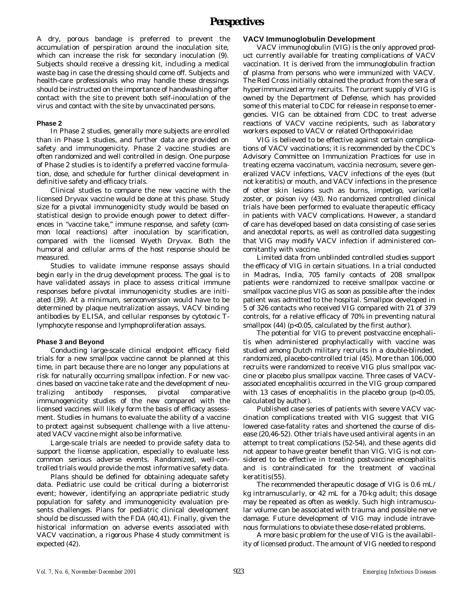A dry, porous bandage is preferred to prevent the accumulation of perspiration around the inoculation site, which can increase the risk for secondary inoculation (9). Subjects should receive a dressing kit, including a medical waste bag in case the dressing should come off. Subjects and health-care professionals who may handle these dressings should be instructed on the importance of handwashing after contact with the site to prevent both self-inoculation of the virus and contact with the site by unvaccinated persons.

#### **Phase 2**

In Phase 2 studies, generally more subjects are enrolled than in Phase 1 studies, and further data are provided on safety and immunogenicity. Phase 2 vaccine studies are often randomized and well controlled in design. One purpose of Phase 2 studies is to identify a preferred vaccine formulation, dose, and schedule for further clinical development in definitive safety and efficacy trials.

Clinical studies to compare the new vaccine with the licensed Dryvax vaccine would be done at this phase. Study size for a pivotal immunogenicity study would be based on statistical design to provide enough power to detect differences in "vaccine take," immune response, and safety (common local reactions) after inoculation by scarification, compared with the licensed Wyeth Dryvax. Both the humoral and cellular arms of the host response should be measured.

Studies to validate immune response assays should begin early in the drug development process. The goal is to have validated assays in place to assess critical immune responses before pivotal immunogenicity studies are initiated (39). At a minimum, seroconversion would have to be determined by plaque neutralization assays, VACV binding antibodies by ELISA, and cellular responses by cytotoxic Tlymphocyte response and lymphoproliferation assays.

#### **Phase 3 and Beyond**

Conducting large-scale clinical endpoint efficacy field trials for a new smallpox vaccine cannot be planned at this time, in part because there are no longer any populations at risk for naturally occurring smallpox infection. For new vaccines based on vaccine take rate and the development of neutralizing antibody responses, pivotal comparative immunogenicity studies of the new compared with the licensed vaccines will likely form the basis of efficacy assessment. Studies in humans to evaluate the ability of a vaccine to protect against subsequent challenge with a live attenuated VACV vaccine might also be informative.

Large-scale trials are needed to provide safety data to support the license application, especially to evaluate less common serious adverse events. Randomized, well-controlled trials would provide the most informative safety data.

Plans should be defined for obtaining adequate safety data. Pediatric use could be critical during a bioterrorist event; however, identifying an appropriate pediatric study population for safety and immunogenicity evaluation presents challenges. Plans for pediatric clinical development should be discussed with the FDA (40,41). Finally, given the historical information on adverse events associated with VACV vaccination, a rigorous Phase 4 study commitment is expected (42).

### **VACV Immunoglobulin Development**

VACV immunoglobulin (VIG) is the only approved product currently available for treating complications of VACV vaccination. It is derived from the immunoglobulin fraction of plasma from persons who were immunized with VACV. The Red Cross initially obtained the product from the sera of hyperimmunized army recruits. The current supply of VIG is owned by the Department of Defense, which has provided some of this material to CDC for release in response to emergencies. VIG can be obtained from CDC to treat adverse reactions of VACV vaccine recipients, such as laboratory workers exposed to VACV or related *Orthopoxviridae*.

VIG is believed to be effective against certain complications of VACV vaccinations; it is recommended by the CDC's Advisory Committee on Immunization Practices for use in treating eczema vaccinatum, vaccinia necrosum, severe generalized VACV infections, VACV infections of the eyes (but not keratitis) or mouth, and VACV infections in the presence of other skin lesions such as burns, impetigo, varicella zoster, or poison ivy (43). No randomized controlled clinical trials have been performed to evaluate therapeutic efficacy in patients with VACV complications. However, a standard of care has developed based on data consisting of case series and anecdotal reports, as well as controlled data suggesting that VIG may modify VACV infection if administered concomitantly with vaccine.

Limited data from unblinded controlled studies support the efficacy of VIG in certain situations. In a trial conducted in Madras, India, 705 family contacts of 208 smallpox patients were randomized to receive smallpox vaccine or smallpox vaccine plus VIG as soon as possible after the index patient was admitted to the hospital. Smallpox developed in 5 of 326 contacts who received VIG compared with 21 of 379 controls, for a relative efficacy of 70% in preventing natural smallpox (44) (p<0.05, calculated by the first author).

The potential for VIG to prevent postvaccine encephalitis when administered prophylactically with vaccine was studied among Dutch military recruits in a double-blinded, randomized, placebo-controlled trial (45). More than 106,000 recruits were randomized to receive VIG plus smallpox vaccine or placebo plus smallpox vaccine. Three cases of VACVassociated encephalitis occurred in the VIG group compared with 13 cases of encephalitis in the placebo group  $(p<0.05$ , calculated by author).

Published case series of patients with severe VACV vaccination complications treated with VIG suggest that VIG lowered case-fatality rates and shortened the course of disease (20,46-52). Other trials have used antiviral agents in an attempt to treat complications (52-54), and these agents did not appear to have greater benefit than VIG. VIG is not considered to be effective in treating postvaccine encephalitis and is contraindicated for the treatment of vaccinal keratitis(55).

The recommended therapeutic dosage of VIG is 0.6 mL/ kg intramuscularly, or 42 mL for a 70-kg adult; this dosage may be repeated as often as weekly. Such high intramuscular volume can be associated with trauma and possible nerve damage. Future development of VIG may include intravenous formulations to obviate these dose-related problems.

A more basic problem for the use of VIG is the availability of licensed product. The amount of VIG needed to respond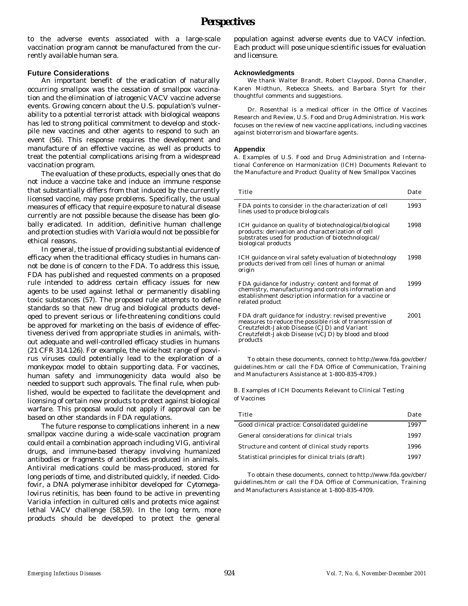to the adverse events associated with a large-scale vaccination program cannot be manufactured from the currently available human sera.

# **Future Considerations**

An important benefit of the eradication of naturally occurring smallpox was the cessation of smallpox vaccination and the elimination of iatrogenic VACV vaccine adverse events. Growing concern about the U.S. population's vulnerability to a potential terrorist attack with biological weapons has led to strong political commitment to develop and stockpile new vaccines and other agents to respond to such an event (56). This response requires the development and manufacture of an effective vaccine, as well as products to treat the potential complications arising from a widespread vaccination program.

The evaluation of these products, especially ones that do not induce a vaccine take and induce an immune response that substantially differs from that induced by the currently licensed vaccine, may pose problems. Specifically, the usual measures of efficacy that require exposure to natural disease currently are not possible because the disease has been globally eradicated. In addition, definitive human challenge and protection studies with *Variola* would not be possible for ethical reasons.

In general, the issue of providing substantial evidence of efficacy when the traditional efficacy studies in humans cannot be done is of concern to the FDA. To address this issue, FDA has published and requested comments on a proposed rule intended to address certain efficacy issues for new agents to be used against lethal or permanently disabling toxic substances (57). The proposed rule attempts to define standards so that new drug and biological products developed to prevent serious or life-threatening conditions could be approved for marketing on the basis of evidence of effectiveness derived from appropriate studies in animals, without adequate and well-controlled efficacy studies in humans (21 CFR 314.126). For example, the wide host range of poxvirus viruses could potentially lead to the exploration of a monkeypox model to obtain supporting data. For vaccines, human safety and immunogenicity data would also be needed to support such approvals. The final rule, when published, would be expected to facilitate the development and licensing of certain new products to protect against biological warfare. This proposal would not apply if approval can be based on other standards in FDA regulations.

The future response to complications inherent in a new smallpox vaccine during a wide-scale vaccination program could entail a combination approach including VIG, antiviral drugs, and immune-based therapy involving humanized antibodies or fragments of antibodies produced in animals. Antiviral medications could be mass-produced, stored for long periods of time, and distributed quickly, if needed. Cidofovir, a DNA polymerase inhibitor developed for *Cytomegalovirus* retinitis, has been found to be active in preventing *Variola* infection in cultured cells and protects mice against lethal VACV challenge (58,59). In the long term, more products should be developed to protect the general population against adverse events due to VACV infection. Each product will pose unique scientific issues for evaluation and licensure.

### **Acknowledgments**

We thank Walter Brandt, Robert Claypool, Donna Chandler, Karen Midthun, Rebecca Sheets, and Barbara Styrt for their thoughtful comments and suggestions.

Dr. Rosenthal is a medical officer in the Office of Vaccines Research and Review, U.S. Food and Drug Administration. His work focuses on the review of new vaccine applications, including vaccines against bioterrorism and biowarfare agents.

#### **Appendix**

A. Examples of U.S. Food and Drug Administration and International Conference on Harmonization (ICH) Documents Relevant to the Manufacture and Product Quality of New Smallpox Vaccines

| Title                                                                                                                                                                                                                            | Date |
|----------------------------------------------------------------------------------------------------------------------------------------------------------------------------------------------------------------------------------|------|
| FDA points to consider in the characterization of cell<br>lines used to produce biologicals                                                                                                                                      | 1993 |
| ICH guidance on quality of biotechnological/biological<br>products: derivation and characterization of cell<br>substrates used for production of biotechnological/<br>biological products                                        | 1998 |
| ICH guidance on viral safety evaluation of biotechnology<br>products derived from cell lines of human or animal<br>origin                                                                                                        | 1998 |
| FDA guidance for industry: content and format of<br>chemistry, manufacturing and controls information and<br>establishment description information for a vaccine or<br>related product                                           | 1999 |
| FDA draft guidance for industry: revised preventive<br>measures to reduce the possible risk of transmission of<br>Creutzfeldt-Jakob Disease (CJD) and Variant<br>Creutzfeldt-Jakob Disease (vCJD) by blood and blood<br>products | 2001 |

To obtain these documents, connect to http://www.fda.gov/cber/ guidelines.htm or call the FDA Office of Communication, Training and Manufacturers Assistance at 1-800-835-4709.)

B. Examples of ICH Documents Relevant to Clinical Testing of Vaccines

| Title                                              | Date |
|----------------------------------------------------|------|
| Good clinical practice: Consolidated guideline     | 1997 |
| General considerations for clinical trials         | 1997 |
| Structure and content of clinical study reports    | 1996 |
| Statistical principles for clinical trials (draft) | 1997 |

To obtain these documents, connect to http://www.fda.gov/cber/ guidelines.htm or call the FDA Office of Communication, Training and Manufacturers Assistance at 1-800-835-4709.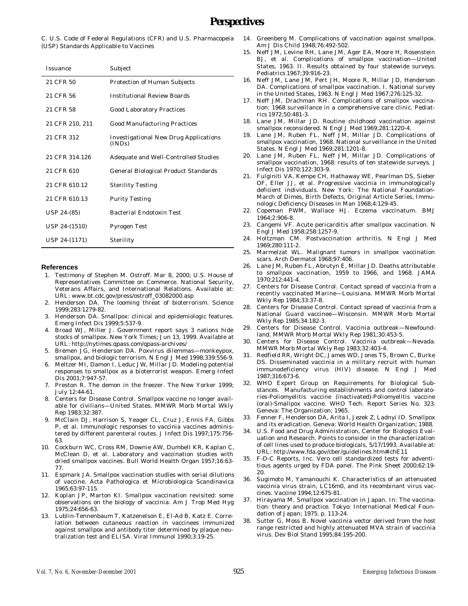# *Perspectives*

C. U.S. Code of Federal Regulations (CFR) and U.S. Pharmacopeia (USP) Standards Applicable to Vaccines

| Issuance        | Subject                                         |
|-----------------|-------------------------------------------------|
| 21 CFR 50       | Protection of Human Subjects                    |
| 21 CFR 56       | Institutional Review Boards                     |
| 21 CFR 58       | Good Laboratory Practices                       |
| 21 CFR 210, 211 | Good Manufacturing Practices                    |
| 21 CFR 312      | Investigational New Drug Applications<br>(INDs) |
| 21 CFR 314.126  | Adequate and Well-Controlled Studies            |
| 21 CFR 610      | General Biological Product Standards            |
| 21 CFR 610 12   | <b>Sterility Testing</b>                        |
| 21 CFR 610.13   | <b>Purity Testing</b>                           |
| USP 24-(85)     | Bacterial Endotoxin Test                        |
| USP 24-(1510)   | Pyrogen Test                                    |
| USP 24-(1171)   | Sterility                                       |

#### **References**

- 1. Testimony of Stephen M. Ostroff. Mar 8, 2000; U.S. House of Representatives Committee on Commerce. National Security, Veterans Affairs, and International Relations. Available at: URL: www.bt.cdc.gov/press/ostroff\_03082000.asp
- 2. Henderson DA. The looming threat of bioterrorism. Science 1999;283:1279-82.
- 3. Henderson DA. Smallpox: clinical and epidemiologic features. Emerg Infect Dis 1999;5:537-9.
- 4. Broad WJ, Miller J. Government report says 3 nations hide stocks of smallpox. New York Times; Jun 13, 1999. Available at URL: http://nytimes.qpass.com/qpass-archives/
- 5. Bremen JG, Henderson DA. Poxvirus dilemmas—monkeypox, smallpox, and biologic terrorism. N Engl J Med 1998;339:556-9.
- 6. Meltzer MI, Damon I, Leduc JW, Millar JD. Modeling potential responses to smallpox as a bioterrorist weapon. Emerg Infect Dis 2001;7:947-57.
- 7. Preston R. The demon in the freezer. The New Yorker 1999; July 12:44-61.
- 8. Centers for Disease Control. Smallpox vaccine no longer available for civilians—United States. MMWR Morb Mortal Wkly Rep 1983;32:387.
- 9. McClain DJ, Harrison S, Yeager CL, Cruz J, Ennis FA, Gibbs P, et al. Immunologic responses to vaccinia vaccines administered by different parenteral routes. J Infect Dis 1997;175:756- 63.
- 10. Cockburn WC, Cross RM, Downie AW, Dumbell KR, Kaplan C, McClean D, et al. Laboratory and vaccination studies with dried smallpox vaccines. Bull World Health Organ 1957;16:63- 77.
- 11. Espmark JA. Smallpox vaccination studies with serial dilutions of vaccine. Acta Pathologica et Microbiologica Scandinavica 1965;63:97-115.
- 12. Koplan JP, Marton KI. Smallpox vaccination revisited: some observations on the biology of vaccinia. Am J Trop Med Hyg 1975;24:656-63.
- 13. Lublin-Tennenbaum T, Katzenelson E, El-Ad B, Katz E. Correlation between cutaneous reaction in vaccinees immunized against smallpox and antibody titer determined by plaque neutralization test and ELISA. Viral Immunol 1990;3:19-25.
- 14. Greenberg M. Complications of vaccination against smallpox. Am J Dis Child 1948;76:492-502.
- 15. Neff JM, Levine RH, Lane JM, Ager EA, Moore H, Rosenstein BJ, et al. Complications of smallpox vaccination—United States, 1963. II. Results obtained by four statewide surveys. Pediatrics 1967;39:916-23.
- 16. Neff JM, Lane JM, Pert JH, Moore R, Millar JD, Henderson DA. Complications of smallpox vaccination. I. National survey in the United States, 1963. N Engl J Med 1967;276:125-32.
- 17. Neff JM, Drachman RH. Complications of smallpox vaccination: 1968 surveillance in a comprehensive care clinic. Pediatrics 1972;50:481-3.
- 18. Lane JM, Millar JD. Routine childhood vaccination against smallpox reconsidered. N Engl J Med 1969;281:1220-4.
- 19. Lane JM, Ruben FL, Neff JM, Millar JD. Complications of smallpox vaccination, 1968. National surveillance in the United States. N Engl J Med 1969;281:1201-8.
- 20. Lane JM, Ruben FL, Neff JM, Millar JD. Complications of smallpox vaccination, 1968: results of ten statewide surveys. J Infect Dis 1970;122:303-9.
- 21. Fulginiti VA, Kempe CH, Hathaway WE, Pearlman DS, Sieber OF, Eller JJ, et al. Progressive vaccinia in immunologically deficient individuals. New York: The National Foundation-March of Dimes, Birth Defects, Original Article Series, Immunologic Deficiency Diseases in Man 1968;4:129-45.
- 22. Copeman PWM, Wallace HJ. Eczema vaccinatum. BMJ 1964;2:906-8.
- 23. Cangemi VF. Acute pericarditis after smallpox vaccination. N Engl J Med 1958;258:1257-9.
- 24. Holtzman CM. Postvaccination arthritis. N Engl J Med 1969;280:111-2.
- 25. Marmelzat WL. Malignant tumors in smallpox vaccination scars. Arch Dermatol 1968;97:406.
- 26. Lane JM, Ruben FL, Abrutyn E, Millar JD. Deaths attributable to smallpox vaccination, 1959 to 1966, and 1968. JAMA 1970;212:441-4.
- 27. Centers for Disease Control. Contact spread of vaccinia from a recently vaccinated Marine—Louisiana. MMWR Morb Mortal Wkly Rep 1984;33:37-8.
- 28. Centers for Disease Control. Contact spread of vaccinia from a National Guard vaccinee—Wisconsin. MMWR Morb Mortal Wkly Rep 1985;34:182-3.
- 29. Centers for Disease Control. Vaccinia outbreak—Newfoundland. MMWR Morb Mortal Wkly Rep 1981;30:453-5.
- 30. Centers for Disease Control. Vaccinia outbreak—Nevada. MMWR Morb Mortal Wkly Rep 1983;32:403-4.
- 31. Redfield RR, Wright DC, James WD, Jones TS, Brown C, Burke DS. Disseminated vaccinia in a military recruit with human immunodeficiency virus (HIV) disease. N Engl J Med 1987;316:673-6.
- 32. WHO Expert Group on Requirements for Biological Substances. Manufacturing establishments and control laboratories-Poliomyelitis vaccine (inactivated)-Poliomyelitis vaccine (oral)-Smallpox vaccine. WHO Tech. Report Series No. 323. Geneva: The Organization; 1965.
- 33. Fenner F, Henderson DA, Arita I, Jezek Z, Ladnyi ID. Smallpox and its eradication. Geneva: World Health Organization; 1988.
- 34. U.S. Food and Drug Administration, Center for Biologics Evaluation and Research. Points to consider in the characterization of cell lines used to produce biologicals, 5/17/1993. Available at: URL: http://www.fda.gov/cber/guidelines.htm#ichE11
- 35. F-D-C Reports, Inc. Vero cell standardized tests for adventitious agents urged by FDA panel. The Pink Sheet 2000;62:19- 20.
- 36. Sugimoto M, Yamanouchi K. Characteristics of an attenuated vaccinia virus strain, LC16m0, and its recombinant virus vaccines. Vaccine 1994;12:675-81.
- 37. Hirayama M. Smallpox vaccination in Japan. In: The vaccination: theory and practice. Tokyo: International Medical Foundation of Japan; 1975. p. 113-24.
- Sutter G, Moss B. Novel vaccinia vector derived from the host range restricted and highly attenuated MVA strain of vaccinia virus. Dev Biol Stand 1995;84:195-200.